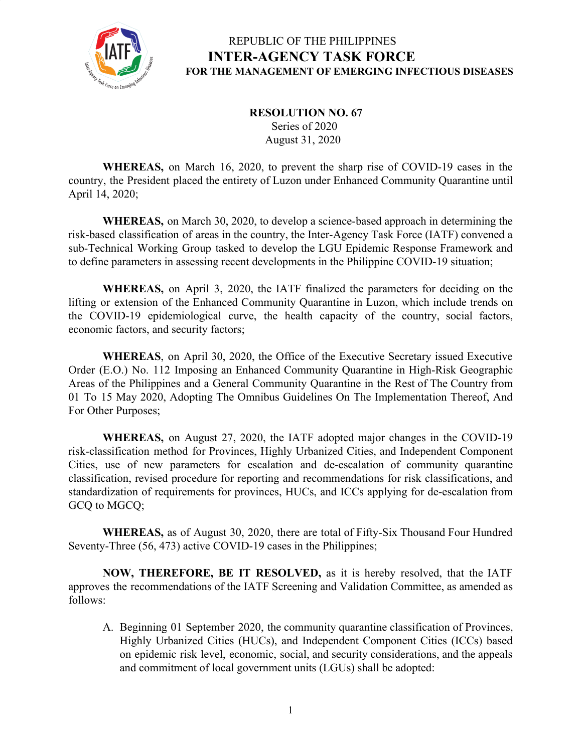

 **RESOLUTION NO. 67** Series of 2020 August 31, 2020

**WHEREAS,** on March 16, 2020, to prevent the sharp rise of COVID-19 cases in the country, the President placed the entirety of Luzon under Enhanced Community Quarantine until April 14, 2020;

**WHEREAS,** on March 30, 2020, to develop a science-based approach in determining the risk-based classification of areas in the country, the Inter-Agency Task Force (IATF) convened a sub-Technical Working Group tasked to develop the LGU Epidemic Response Framework and to define parameters in assessing recent developments in the Philippine COVID-19 situation;

**WHEREAS,** on April 3, 2020, the IATF finalized the parameters for deciding on the lifting or extension of the Enhanced Community Quarantine in Luzon, which include trends on the COVID-19 epidemiological curve, the health capacity of the country, social factors, economic factors, and security factors;

**WHEREAS**, on April 30, 2020, the Office of the Executive Secretary issued Executive Order (E.O.) No. 112 Imposing an Enhanced Community Quarantine in High-Risk Geographic Areas of the Philippines and a General Community Quarantine in the Rest of The Country from 01 To 15 May 2020, Adopting The Omnibus Guidelines On The Implementation Thereof, And For Other Purposes;

**WHEREAS,** on August 27, 2020, the IATF adopted major changes in the COVID-19 risk-classification method for Provinces, Highly Urbanized Cities, and Independent Component Cities, use of new parameters for escalation and de-escalation of community quarantine classification, revised procedure for reporting and recommendations for risk classifications, and standardization of requirements for provinces, HUCs, and ICCs applying for de-escalation from GCQ to MGCQ;

**WHEREAS,** as of August 30, 2020, there are total of Fifty-Six Thousand Four Hundred Seventy-Three (56, 473) active COVID-19 cases in the Philippines;

**NOW, THEREFORE, BE IT RESOLVED,** as it is hereby resolved, that the IATF approves the recommendations of the IATF Screening and Validation Committee, as amended as follows:

A. Beginning 01 September 2020, the community quarantine classification of Provinces, Highly Urbanized Cities (HUCs), and Independent Component Cities (ICCs) based on epidemic risk level, economic, social, and security considerations, and the appeals and commitment of local government units (LGUs) shall be adopted: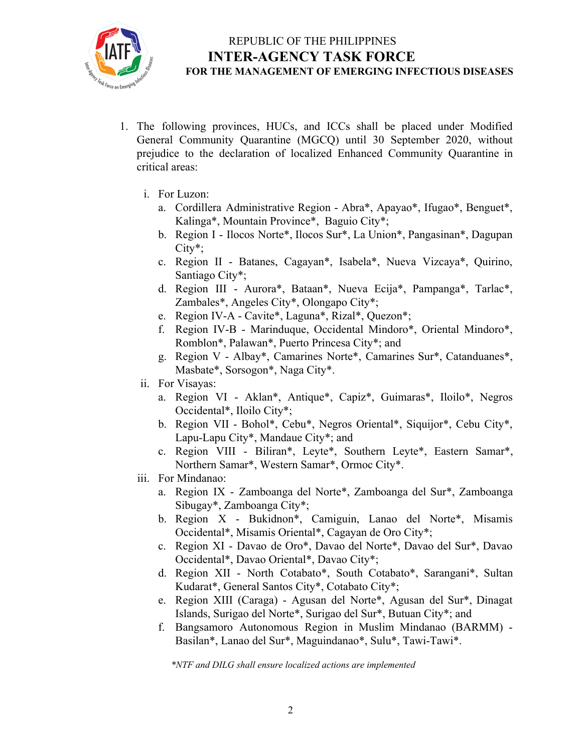

- 1. The following provinces, HUCs, and ICCs shall be placed under Modified General Community Quarantine (MGCQ) until 30 September 2020, without prejudice to the declaration of localized Enhanced Community Quarantine in critical areas:
	- i. For Luzon:
		- a. Cordillera Administrative Region Abra\*, Apayao\*, Ifugao\*, Benguet\*, Kalinga\*, Mountain Province\*, Baguio City\*;
		- b. Region I Ilocos Norte\*, Ilocos Sur\*, La Union\*, Pangasinan\*, Dagupan City\*;
		- c. Region II Batanes, Cagayan\*, Isabela\*, Nueva Vizcaya\*, Quirino, Santiago City\*;
		- d. Region III Aurora\*, Bataan\*, Nueva Ecija\*, Pampanga\*, Tarlac\*, Zambales\*, Angeles City\*, Olongapo City\*;
		- e. Region IV-A Cavite\*, Laguna\*, Rizal\*, Quezon\*;
		- f. Region IV-B Marinduque, Occidental Mindoro\*, Oriental Mindoro\*, Romblon\*, Palawan\*, Puerto Princesa City\*; and
		- g. Region V Albay\*, Camarines Norte\*, Camarines Sur\*, Catanduanes\*, Masbate\*, Sorsogon\*, Naga City\*.
	- ii. For Visayas:
		- a. Region VI Aklan\*, Antique\*, Capiz\*, Guimaras\*, Iloilo\*, Negros Occidental\*, Iloilo City\*;
		- b. Region VII Bohol\*, Cebu\*, Negros Oriental\*, Siquijor\*, Cebu City\*, Lapu-Lapu City\*, Mandaue City\*; and
		- c. Region VIII Biliran\*, Leyte\*, Southern Leyte\*, Eastern Samar\*, Northern Samar\*, Western Samar\*, Ormoc City\*.
	- iii. For Mindanao:
		- a. Region IX Zamboanga del Norte\*, Zamboanga del Sur\*, Zamboanga Sibugay\*, Zamboanga City\*;
		- b. Region X Bukidnon\*, Camiguin, Lanao del Norte\*, Misamis Occidental\*, Misamis Oriental\*, Cagayan de Oro City\*;
		- c. Region XI Davao de Oro\*, Davao del Norte\*, Davao del Sur\*, Davao Occidental\*, Davao Oriental\*, Davao City\*;
		- d. Region XII North Cotabato\*, South Cotabato\*, Sarangani\*, Sultan Kudarat\*, General Santos City\*, Cotabato City\*;
		- e. Region XIII (Caraga) Agusan del Norte\*, Agusan del Sur\*, Dinagat Islands, Surigao del Norte\*, Surigao del Sur\*, Butuan City\*; and
		- f. Bangsamoro Autonomous Region in Muslim Mindanao (BARMM) Basilan\*, Lanao del Sur\*, Maguindanao\*, Sulu\*, Tawi-Tawi\*.

*\*NTF and DILG shall ensure localized actions are implemented*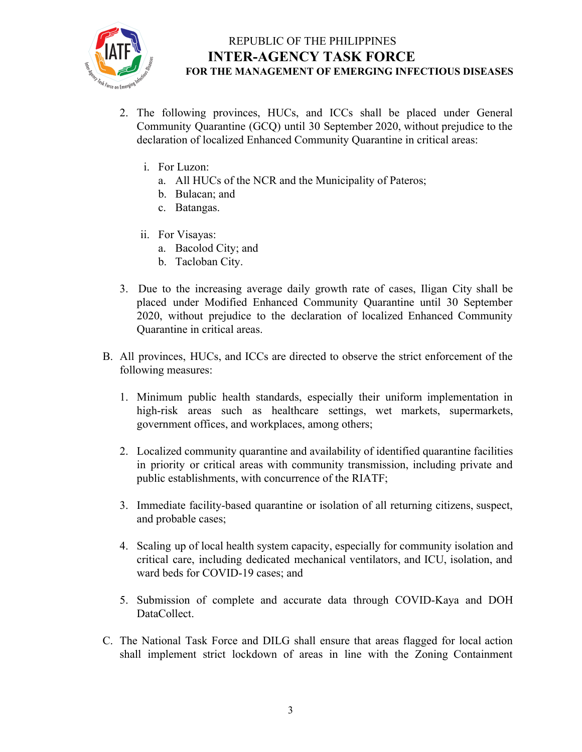

- 2. The following provinces, HUCs, and ICCs shall be placed under General Community Quarantine (GCQ) until 30 September 2020, without prejudice to the declaration of localized Enhanced Community Quarantine in critical areas:
	- i. For Luzon:
		- a. All HUCs of the NCR and the Municipality of Pateros;
		- b. Bulacan; and
		- c. Batangas.
	- ii. For Visayas:
		- a. Bacolod City; and
		- b. Tacloban City.
- 3. Due to the increasing average daily growth rate of cases, Iligan City shall be placed under Modified Enhanced Community Quarantine until 30 September 2020, without prejudice to the declaration of localized Enhanced Community Quarantine in critical areas.
- B. All provinces, HUCs, and ICCs are directed to observe the strict enforcement of the following measures:
	- 1. Minimum public health standards, especially their uniform implementation in high-risk areas such as healthcare settings, wet markets, supermarkets, government offices, and workplaces, among others;
	- 2. Localized community quarantine and availability of identified quarantine facilities in priority or critical areas with community transmission, including private and public establishments, with concurrence of the RIATF;
	- 3. Immediate facility-based quarantine or isolation of all returning citizens, suspect, and probable cases;
	- 4. Scaling up of local health system capacity, especially for community isolation and critical care, including dedicated mechanical ventilators, and ICU, isolation, and ward beds for COVID-19 cases; and
	- 5. Submission of complete and accurate data through COVID-Kaya and DOH DataCollect.
- C. The National Task Force and DILG shall ensure that areas flagged for local action shall implement strict lockdown of areas in line with the Zoning Containment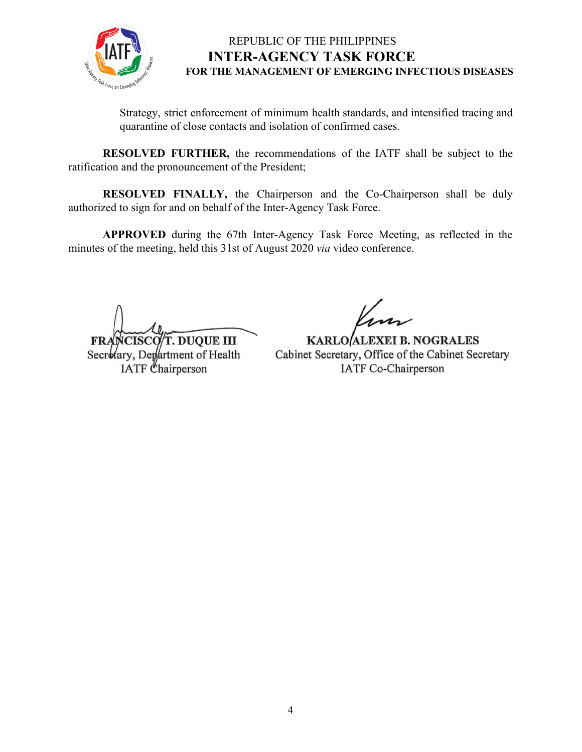

Strategy, strict enforcement of minimum health standards, and intensified tracing and quarantine of close contacts and isolation of confirmed cases.

**RESOLVED FURTHER,** the recommendations of the IATF shall be subject to the ratification and the pronouncement of the President;

**RESOLVED FINALLY,** the Chairperson and the Co-Chairperson shall be duly authorized to sign for and on behalf of the Inter-Agency Task Force.

**APPROVED** during the 67th Inter-Agency Task Force Meeting, as reflected in the minutes of the meeting, held this 31st of August 2020 *via* video conference.

**CISCO/T. DUQUE III** 

Secretary, Department of Health IATF Chairperson

**KARLO/ALEXEI B. NOGRALES** Cabinet Secretary, Office of the Cabinet Secretary IATF Co-Chairperson